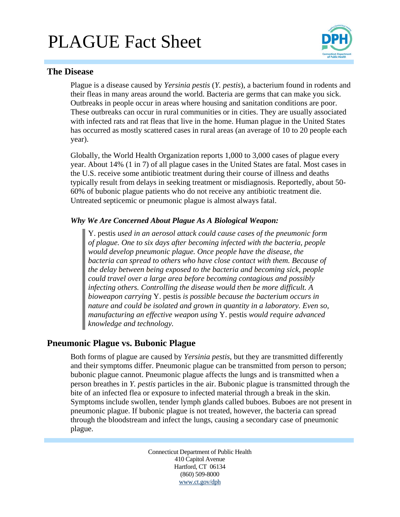# PLAGUE Fact Sheet



## **The Disease**

Plague is a disease caused by *Yersinia pestis* (*Y. pestis*), a bacterium found in rodents and their fleas in many areas around the world. Bacteria are germs that can make you sick. Outbreaks in people occur in areas where housing and sanitation conditions are poor. These outbreaks can occur in rural communities or in cities. They are usually associated with infected rats and rat fleas that live in the home. Human plague in the United States has occurred as mostly scattered cases in rural areas (an average of 10 to 20 people each year).

Globally, the World Health Organization reports 1,000 to 3,000 cases of plague every year. About 14% (1 in 7) of all plague cases in the United States are fatal. Most cases in the U.S. receive some antibiotic treatment during their course of illness and deaths typically result from delays in seeking treatment or misdiagnosis. Reportedly, about 50- 60% of bubonic plague patients who do not receive any antibiotic treatment die. Untreated septicemic or pneumonic plague is almost always fatal.

#### *Why We Are Concerned About Plague As A Biological Weapon:*

Y. pestis *used in an aerosol attack could cause cases of the pneumonic form of plague. One to six days after becoming infected with the bacteria, people would develop pneumonic plague. Once people have the disease, the bacteria can spread to others who have close contact with them. Because of the delay between being exposed to the bacteria and becoming sick, people could travel over a large area before becoming contagious and possibly infecting others. Controlling the disease would then be more difficult. A bioweapon carrying* Y. pestis *is possible because the bacterium occurs in nature and could be isolated and grown in quantity in a laboratory. Even so, manufacturing an effective weapon using* Y. pestis *would require advanced knowledge and technology.* 

# **Pneumonic Plague vs. Bubonic Plague**

Both forms of plague are caused by *Yersinia pestis*, but they are transmitted differently and their symptoms differ. Pneumonic plague can be transmitted from person to person; bubonic plague cannot. Pneumonic plague affects the lungs and is transmitted when a person breathes in *Y. pestis* particles in the air. Bubonic plague is transmitted through the bite of an infected flea or exposure to infected material through a break in the skin. Symptoms include swollen, tender lymph glands called buboes. Buboes are not present in pneumonic plague. If bubonic plague is not treated, however, the bacteria can spread through the bloodstream and infect the lungs, causing a secondary case of pneumonic plague.

> Connecticut Department of Public Health 410 Capitol Avenue Hartford, CT 06134 (860) 509-8000 www.ct.gov/dph